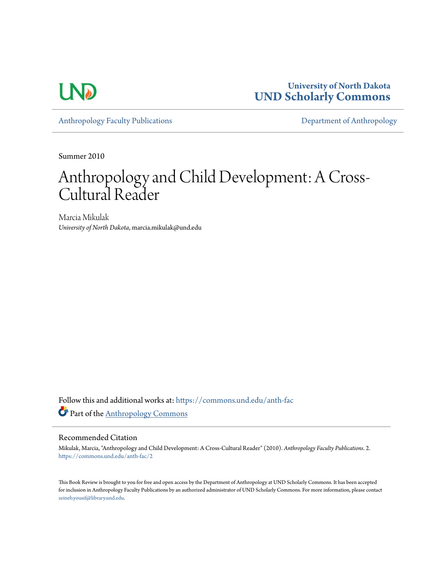

**University of North Dakota [UND Scholarly Commons](https://commons.und.edu?utm_source=commons.und.edu%2Fanth-fac%2F2&utm_medium=PDF&utm_campaign=PDFCoverPages)**

[Anthropology Faculty Publications](https://commons.und.edu/anth-fac?utm_source=commons.und.edu%2Fanth-fac%2F2&utm_medium=PDF&utm_campaign=PDFCoverPages) **[Department of Anthropology](https://commons.und.edu/anth?utm_source=commons.und.edu%2Fanth-fac%2F2&utm_medium=PDF&utm_campaign=PDFCoverPages)** 

Summer 2010

# Anthropology and Child Development: A Cross-Cultural Reader

Marcia Mikulak *University of North Dakota*, marcia.mikulak@und.edu

Follow this and additional works at: [https://commons.und.edu/anth-fac](https://commons.und.edu/anth-fac?utm_source=commons.und.edu%2Fanth-fac%2F2&utm_medium=PDF&utm_campaign=PDFCoverPages) Part of the [Anthropology Commons](http://network.bepress.com/hgg/discipline/318?utm_source=commons.und.edu%2Fanth-fac%2F2&utm_medium=PDF&utm_campaign=PDFCoverPages)

#### Recommended Citation

Mikulak, Marcia, "Anthropology and Child Development: A Cross-Cultural Reader" (2010). *Anthropology Faculty Publications*. 2. [https://commons.und.edu/anth-fac/2](https://commons.und.edu/anth-fac/2?utm_source=commons.und.edu%2Fanth-fac%2F2&utm_medium=PDF&utm_campaign=PDFCoverPages)

This Book Review is brought to you for free and open access by the Department of Anthropology at UND Scholarly Commons. It has been accepted for inclusion in Anthropology Faculty Publications by an authorized administrator of UND Scholarly Commons. For more information, please contact [zeineb.yousif@library.und.edu](mailto:zeineb.yousif@library.und.edu).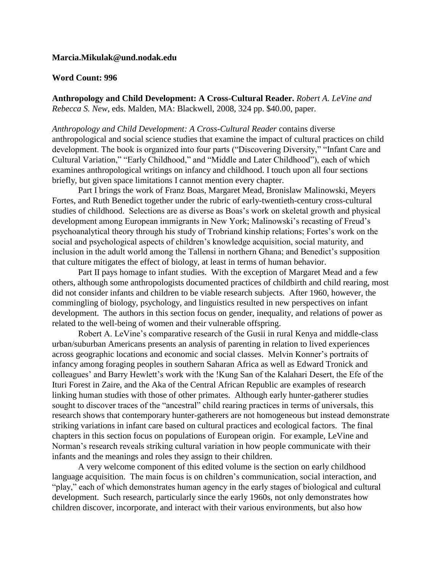### **Marcia.Mikulak@und.nodak.edu**

#### **Word Count: 996**

**Anthropology and Child Development: A Cross-Cultural Reader.** *Robert A. LeVine and Rebecca S. New,* eds. Malden, MA: Blackwell, 2008, 324 pp. \$40.00, paper.

*Anthropology and Child Development: A Cross-Cultural Reader* contains diverse anthropological and social science studies that examine the impact of cultural practices on child development. The book is organized into four parts ("Discovering Diversity," "Infant Care and Cultural Variation," "Early Childhood," and "Middle and Later Childhood"), each of which examines anthropological writings on infancy and childhood. I touch upon all four sections briefly, but given space limitations I cannot mention every chapter.

Part I brings the work of Franz Boas, Margaret Mead, Bronislaw Malinowski, Meyers Fortes, and Ruth Benedict together under the rubric of early-twentieth-century cross-cultural studies of childhood. Selections are as diverse as Boas's work on skeletal growth and physical development among European immigrants in New York; Malinowski's recasting of Freud's psychoanalytical theory through his study of Trobriand kinship relations; Fortes's work on the social and psychological aspects of children's knowledge acquisition, social maturity, and inclusion in the adult world among the Tallensi in northern Ghana; and Benedict's supposition that culture mitigates the effect of biology, at least in terms of human behavior.

Part II pays homage to infant studies. With the exception of Margaret Mead and a few others, although some anthropologists documented practices of childbirth and child rearing, most did not consider infants and children to be viable research subjects. After 1960, however, the commingling of biology, psychology, and linguistics resulted in new perspectives on infant development. The authors in this section focus on gender, inequality, and relations of power as related to the well-being of women and their vulnerable offspring.

Robert A. LeVine's comparative research of the Gusii in rural Kenya and middle-class urban/suburban Americans presents an analysis of parenting in relation to lived experiences across geographic locations and economic and social classes. Melvin Konner's portraits of infancy among foraging peoples in southern Saharan Africa as well as Edward Tronick and colleagues' and Barry Hewlett's work with the !Kung San of the Kalahari Desert, the Efe of the Ituri Forest in Zaire, and the Aka of the Central African Republic are examples of research linking human studies with those of other primates. Although early hunter-gatherer studies sought to discover traces of the "ancestral" child rearing practices in terms of universals, this research shows that contemporary hunter-gatherers are not homogeneous but instead demonstrate striking variations in infant care based on cultural practices and ecological factors. The final chapters in this section focus on populations of European origin. For example, LeVine and Norman's research reveals striking cultural variation in how people communicate with their infants and the meanings and roles they assign to their children.

A very welcome component of this edited volume is the section on early childhood language acquisition. The main focus is on children's communication, social interaction, and "play," each of which demonstrates human agency in the early stages of biological and cultural development. Such research, particularly since the early 1960s, not only demonstrates how children discover, incorporate, and interact with their various environments, but also how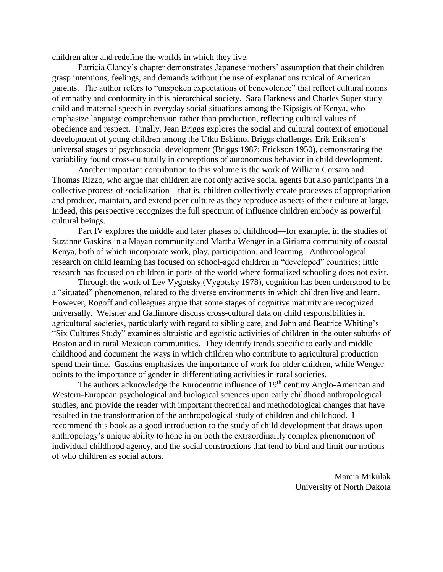children alter and redefine the worlds in which they live.

Patricia Clancy's chapter demonstrates Japanese mothers' assumption that their children grasp intentions, feelings, and demands without the use of explanations typical of American parents. The author refers to "unspoken expectations of benevolence" that reflect cultural norms of empathy and conformity in this hierarchical society. Sara Harkness and Charles Super study child and maternal speech in everyday social situations among the Kipsigis of Kenya, who emphasize language comprehension rather than production, reflecting cultural values of obedience and respect. Finally, Jean Briggs explores the social and cultural context of emotional development of young children among the Utku Eskimo. Briggs challenges Erik Erikson's universal stages of psychosocial development (Briggs 1987; Erickson 1950), demonstrating the variability found cross-culturally in conceptions of autonomous behavior in child development.

Another important contribution to this volume is the work of William Corsaro and Thomas Rizzo, who argue that children are not only active social agents but also participants in a collective process of socialization—that is, children collectively create processes of appropriation and produce, maintain, and extend peer culture as they reproduce aspects of their culture at large. Indeed, this perspective recognizes the full spectrum of influence children embody as powerful cultural beings.

Part IV explores the middle and later phases of childhood—for example, in the studies of Suzanne Gaskins in a Mayan community and Martha Wenger in a Giriama community of coastal Kenya, both of which incorporate work, play, participation, and learning. Anthropological research on child learning has focused on school-aged children in "developed" countries; little research has focused on children in parts of the world where formalized schooling does not exist.

Through the work of Lev Vygotsky (Vygotsky 1978), cognition has been understood to be a "situated" phenomenon, related to the diverse environments in which children live and learn. However, Rogoff and colleagues argue that some stages of cognitive maturity are recognized universally. Weisner and Gallimore discuss cross-cultural data on child responsibilities in agricultural societies, particularly with regard to sibling care, and John and Beatrice Whiting's "Six Cultures Study" examines altruistic and egoistic activities of children in the outer suburbs of Boston and in rural Mexican communities. They identify trends specific to early and middle childhood and document the ways in which children who contribute to agricultural production spend their time. Gaskins emphasizes the importance of work for older children, while Wenger points to the importance of gender in differentiating activities in rural societies.

The authors acknowledge the Eurocentric influence of 19<sup>th</sup> century Anglo-American and Western-European psychological and biological sciences upon early childhood anthropological studies, and provide the reader with important theoretical and methodological changes that have resulted in the transformation of the anthropological study of children and childhood. I recommend this book as a good introduction to the study of child development that draws upon anthropology's unique ability to hone in on both the extraordinarily complex phenomenon of individual childhood agency, and the social constructions that tend to bind and limit our notions of who children as social actors.

> Marcia Mikulak University of North Dakota